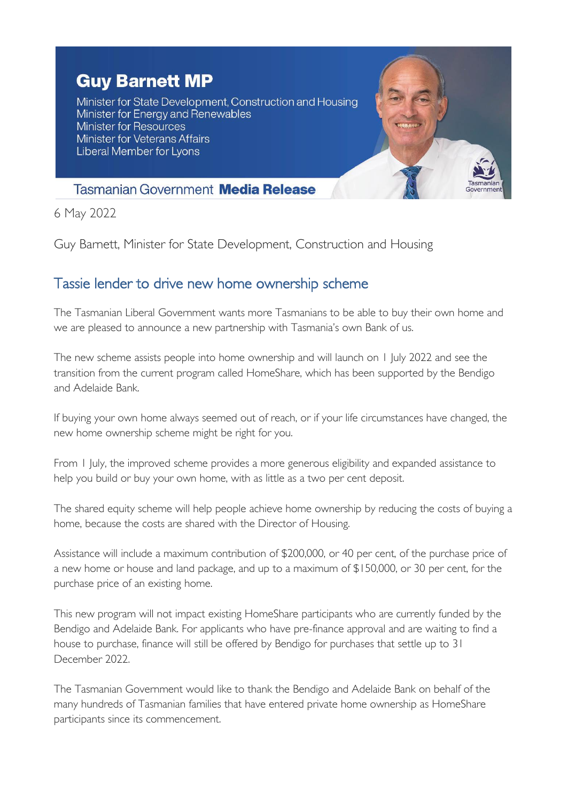## **Guy Barnett MP**

Minister for State Development, Construction and Housing Minister for Energy and Renewables **Minister for Resources Minister for Veterans Affairs** Liberal Member for Lyons



## **Tasmanian Government Media Release**

6 May 2022

Guy Barnett, Minister for State Development, Construction and Housing

## Tassie lender to drive new home ownership scheme

The Tasmanian Liberal Government wants more Tasmanians to be able to buy their own home and we are pleased to announce a new partnership with Tasmania's own Bank of us.

The new scheme assists people into home ownership and will launch on 1 July 2022 and see the transition from the current program called HomeShare, which has been supported by the Bendigo and Adelaide Bank.

If buying your own home always seemed out of reach, or if your life circumstances have changed, the new home ownership scheme might be right for you.

From 1 July, the improved scheme provides a more generous eligibility and expanded assistance to help you build or buy your own home, with as little as a two per cent deposit.

The shared equity scheme will help people achieve home ownership by reducing the costs of buying a home, because the costs are shared with the Director of Housing.

Assistance will include a maximum contribution of \$200,000, or 40 per cent, of the purchase price of a new home or house and land package, and up to a maximum of \$150,000, or 30 per cent, for the purchase price of an existing home.

This new program will not impact existing HomeShare participants who are currently funded by the Bendigo and Adelaide Bank. For applicants who have pre-finance approval and are waiting to find a house to purchase, finance will still be offered by Bendigo for purchases that settle up to 31 December 2022.

The Tasmanian Government would like to thank the Bendigo and Adelaide Bank on behalf of the many hundreds of Tasmanian families that have entered private home ownership as HomeShare participants since its commencement.